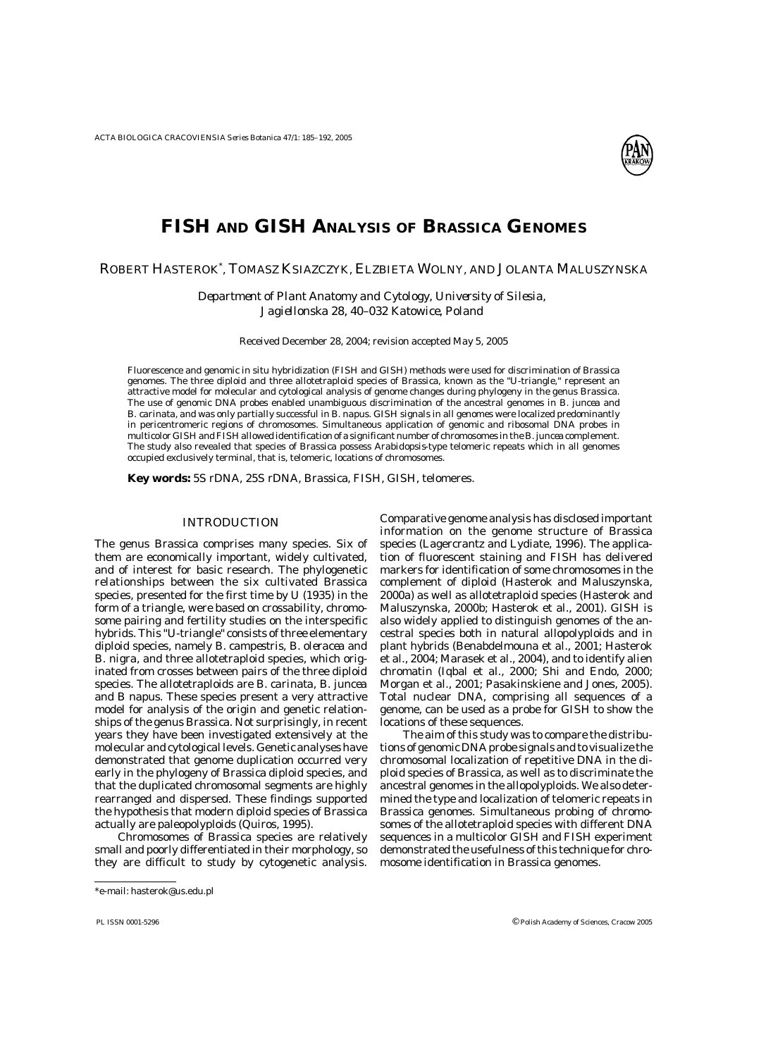

# **FISH AND GISH ANALYSIS OF** *BRASSICA* **GENOMES**

# ROBERT HASTEROK\* , TOMASZ KSIAZCZYK, ELZBIETA WOLNY, AND JOLANTA MALUSZYNSKA

*Department of Plant Anatomy and Cytology, University of Silesia, Jagiellonska 28, 40–032 Katowice, Poland* 

Received December 28, 2004; revision accepted May 5, 2005

Fluorescence and genomic in situ hybridization (FISH and GISH) methods were used for discrimination of *Brassica* genomes. The three diploid and three allotetraploid species of *Brassica*, known as the "U-triangle," represent an attractive model for molecular and cytological analysis of genome changes during phylogeny in the genus *Brassica*. The use of genomic DNA probes enabled unambiguous discrimination of the ancestral genomes in *B. juncea* and *B. carinata*, and was only partially successful in *B. napus*. GISH signals in all genomes were localized predominantly in pericentromeric regions of chromosomes. Simultaneous application of genomic and ribosomal DNA probes in multicolor GISH and FISH allowed identification of a significant number of chromosomes in the *B. juncea* complement. The study also revealed that species of *Brassica* possess *Arabidopsis*-type telomeric repeats which in all genomes occupied exclusively terminal, that is, telomeric, locations of chromosomes.

**Key words:** 5S rDNA, 25S rDNA, *Brassica*, FISH, GISH, telomeres.

# INTRODUCTION

The genus *Brassica* comprises many species. Six of them are economically important, widely cultivated, and of interest for basic research. The phylogenetic relationships between the six cultivated *Brassica* species, presented for the first time by U (1935) in the form of a triangle, were based on crossability, chromosome pairing and fertility studies on the interspecific hybrids. This "U-triangle" consists of three elementary diploid species, namely *B. campestris*, *B. oleracea* and *B. nigra*, and three allotetraploid species, which originated from crosses between pairs of the three diploid species. The allotetraploids are *B. carinata*, *B. juncea* and *B napus*. These species present a very attractive model for analysis of the origin and genetic relationships of the genus *Brassica*. Not surprisingly, in recent years they have been investigated extensively at the molecular and cytological levels. Genetic analyses have demonstrated that genome duplication occurred very early in the phylogeny of *Brassica* diploid species, and that the duplicated chromosomal segments are highly rearranged and dispersed. These findings supported the hypothesis that modern diploid species of *Brassica* actually are paleopolyploids (Quiros, 1995).

Chromosomes of *Brassica* species are relatively small and poorly differentiated in their morphology, so they are difficult to study by cytogenetic analysis.

Comparative genome analysis has disclosed important information on the genome structure of *Brassica* species (Lagercrantz and Lydiate, 1996). The application of fluorescent staining and FISH has delivered markers for identification of some chromosomes in the complement of diploid (Hasterok and Maluszynska, 2000a) as well as allotetraploid species (Hasterok and Maluszynska, 2000b; Hasterok et al., 2001). GISH is also widely applied to distinguish genomes of the ancestral species both in natural allopolyploids and in plant hybrids (Benabdelmouna et al., 2001; Hasterok et al., 2004; Marasek et al., 2004), and to identify alien chromatin (Iqbal et al., 2000; Shi and Endo, 2000; Morgan et al., 2001; Pasakinskiene and Jones, 2005). Total nuclear DNA, comprising all sequences of a genome, can be used as a probe for GISH to show the locations of these sequences.

The aim of this study was to compare the distributions of genomic DNA probe signals and to visualize the chromosomal localization of repetitive DNA in the diploid species of *Brassica*, as well as to discriminate the ancestral genomes in the allopolyploids. We also determined the type and localization of telomeric repeats in *Brassica* genomes. Simultaneous probing of chromosomes of the allotetraploid species with different DNA sequences in a multicolor GISH and FISH experiment demonstrated the usefulness of this technique for chromosome identification in *Brassica* genomes.

<sup>\*</sup>e-mail: hasterok@us.edu.pl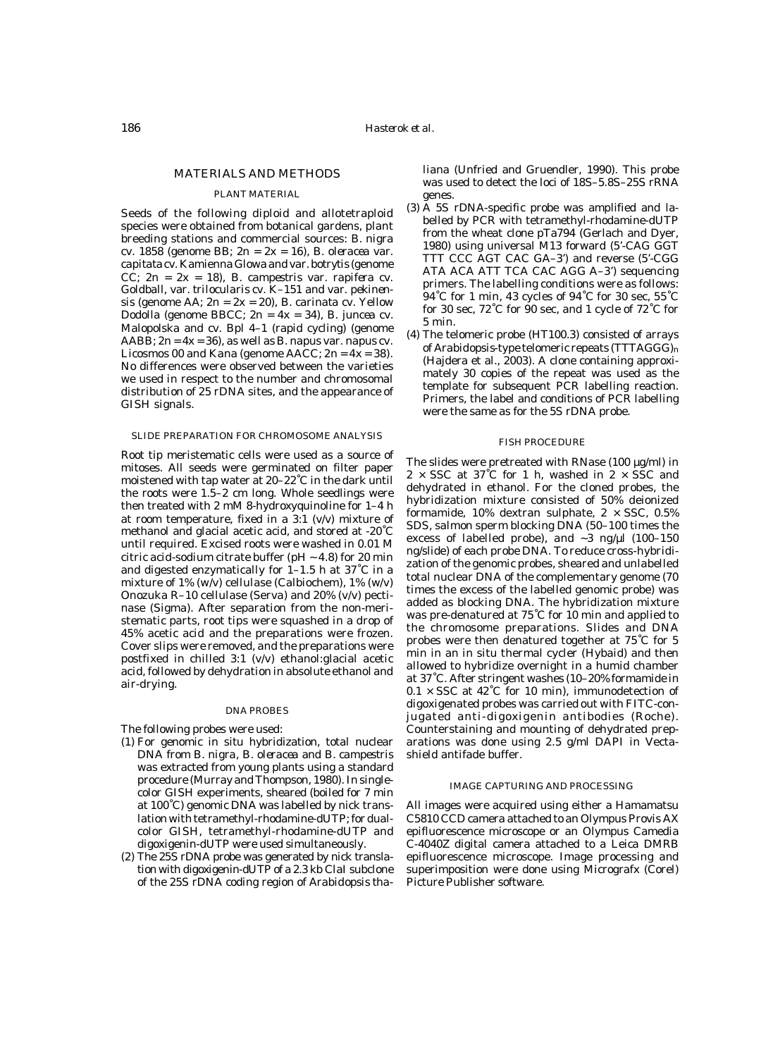# MATERIALS AND METHODS

## PLANT MATERIAL

Seeds of the following diploid and allotetraploid species were obtained from botanical gardens, plant breeding stations and commercial sources: *B. nigra* cv. 1858 (genome BB; 2n = 2x = 16), *B. oleracea* var. *capitata* cv. Kamienna Glowa and var. *botrytis* (genome CC; 2n = 2x = 18), *B. campestris* var. *rapifera* cv. Goldball, var. *trilocularis* cv. K–151 and var. *pekinensis* (genome AA; 2n = 2x = 20), *B. carinata* cv. Yellow Dodolla (genome BBCC; 2n = 4x = 34), *B. juncea* cv. Malopolska and cv. Bpl 4–1 (rapid cycling) (genome AABB; 2n = 4x = 36), as well as *B. napus* var. *napus* cv. Licosmos 00 and Kana (genome AACC;  $2n = 4x = 38$ ). No differences were observed between the varieties we used in respect to the number and chromosomal distribution of 25 rDNA sites, and the appearance of GISH signals.

#### SLIDE PREPARATION FOR CHROMOSOME ANALYSIS

Root tip meristematic cells were used as a source of mitoses. All seeds were germinated on filter paper moistened with tap water at 20–22˚C in the dark until the roots were 1.5–2 cm long. Whole seedlings were then treated with 2 mM 8-hydroxyquinoline for 1–4 h at room temperature, fixed in a 3:1 (v/v) mixture of methanol and glacial acetic acid, and stored at -20˚C until required. Excised roots were washed in 0.01 M citric acid-sodium citrate buffer (pH  $\sim$  4.8) for 20 min and digested enzymatically for 1–1.5 h at 37˚C in a mixture of 1% (w/v) cellulase (Calbiochem), 1% (w/v) Onozuka R–10 cellulase (Serva) and 20% (v/v) pectinase (Sigma). After separation from the non-meristematic parts, root tips were squashed in a drop of 45% acetic acid and the preparations were frozen. Cover slips were removed, and the preparations were postfixed in chilled 3:1 (v/v) ethanol:glacial acetic acid, followed by dehydration in absolute ethanol and air-drying.

#### DNA PROBES

The following probes were used:

- (1) For genomic in situ hybridization, total nuclear DNA from *B. nigra*, *B. oleracea* and *B. campestris* was extracted from young plants using a standard procedure (Murray and Thompson, 1980). In singlecolor GISH experiments, sheared (boiled for 7 min at 100˚C) genomic DNA was labelled by nick translation with tetramethyl-rhodamine-dUTP; for dualcolor GISH, tetramethyl-rhodamine-dUTP and digoxigenin-dUTP were used simultaneously.
- (2) The 25S rDNA probe was generated by nick translation with digoxigenin-dUTP of a 2.3 kb *Cla*I subclone of the 25S rDNA coding region of *Arabidopsis tha-*

*liana* (Unfried and Gruendler, 1990). This probe was used to detect the loci of 18S–5.8S–25S rRNA genes.

- (3) A 5S rDNA-specific probe was amplified and labelled by PCR with tetramethyl-rhodamine-dUTP from the wheat clone pTa794 (Gerlach and Dyer, 1980) using universal M13 forward (5'-CAG GGT TTT CCC AGT CAC GA–3') and reverse (5'-CGG ATA ACA ATT TCA CAC AGG A–3') sequencing primers. The labelling conditions were as follows: 94˚C for 1 min, 43 cycles of 94˚C for 30 sec, 55˚C for 30 sec, 72˚C for 90 sec, and 1 cycle of 72˚C for 5 min.
- (4) The telomeric probe (HT100.3) consisted of arrays of *Arabidopsis*-type telomeric repeats (TTTAGGG)n (Hajdera et al., 2003). A clone containing approximately 30 copies of the repeat was used as the template for subsequent PCR labelling reaction. Primers, the label and conditions of PCR labelling were the same as for the 5S rDNA probe.

## FISH PROCEDURE

The slides were pretreated with RNase (100 µg/ml) in  $2 \times SSC$  at 37°C for 1 h, washed in  $2 \times SSC$  and dehydrated in ethanol. For the cloned probes, the hybridization mixture consisted of 50% deionized formamide, 10% dextran sulphate,  $2 \times SSC$ , 0.5% SDS, salmon sperm blocking DNA (50–100 times the excess of labelled probe), and  $\sim$ 3 ng/ $\mu$ l (100–150 ng/slide) of each probe DNA. To reduce cross-hybridization of the genomic probes, sheared and unlabelled total nuclear DNA of the complementary genome (70 times the excess of the labelled genomic probe) was added as blocking DNA. The hybridization mixture was pre-denatured at 75˚C for 10 min and applied to the chromosome preparations. Slides and DNA probes were then denatured together at 75˚C for 5 min in an in situ thermal cycler (Hybaid) and then allowed to hybridize overnight in a humid chamber at 37˚C. After stringent washes (10–20% formamide in  $0.1 \times SSC$  at  $42^{\circ}C$  for 10 min), immunodetection of digoxigenated probes was carried out with FITC-conjugated anti-digoxigenin antibodies (Roche). Counterstaining and mounting of dehydrated preparations was done using 2.5 g/ml DAPI in Vectashield antifade buffer.

#### IMAGE CAPTURING AND PROCESSING

All images were acquired using either a Hamamatsu C5810 CCD camera attached to an Olympus Provis AX epifluorescence microscope or an Olympus Camedia C-4040Z digital camera attached to a Leica DMRB epifluorescence microscope. Image processing and superimposition were done using Micrografx (Corel) Picture Publisher software.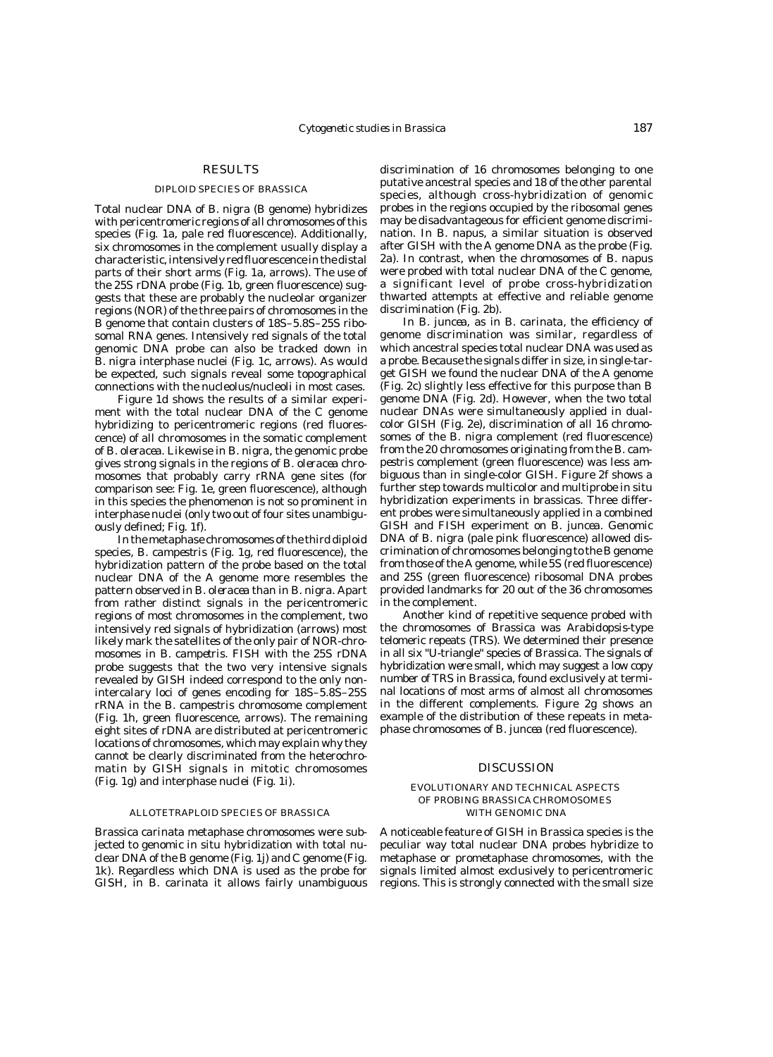# RESULTS

#### DIPLOID SPECIES OF *BRASSICA*

Total nuclear DNA of *B. nigra* (B genome) hybridizes with pericentromeric regions of all chromosomes of this species (Fig. 1a, pale red fluorescence). Additionally, six chromosomes in the complement usually display a characteristic, intensively red fluorescence in the distal parts of their short arms (Fig. 1a, arrows). The use of the 25S rDNA probe (Fig. 1b, green fluorescence) suggests that these are probably the nucleolar organizer regions (NOR) of the three pairs of chromosomes in the B genome that contain clusters of 18S–5.8S–25S ribosomal RNA genes. Intensively red signals of the total genomic DNA probe can also be tracked down in *B. nigra* interphase nuclei (Fig. 1c, arrows). As would be expected, such signals reveal some topographical connections with the nucleolus/nucleoli in most cases.

Figure 1d shows the results of a similar experiment with the total nuclear DNA of the C genome hybridizing to pericentromeric regions (red fluorescence) of all chromosomes in the somatic complement of *B. oleracea*. Likewise in *B. nigra*, the genomic probe gives strong signals in the regions of *B. oleracea* chromosomes that probably carry rRNA gene sites (for comparison see: Fig. 1e, green fluorescence), although in this species the phenomenon is not so prominent in interphase nuclei (only two out of four sites unambiguously defined; Fig. 1f).

In the metaphase chromosomes of the third diploid species, *B. campestris* (Fig. 1g, red fluorescence), the hybridization pattern of the probe based on the total nuclear DNA of the A genome more resembles the pattern observed in *B. oleracea* than in *B. nigra*. Apart from rather distinct signals in the pericentromeric regions of most chromosomes in the complement, two intensively red signals of hybridization (arrows) most likely mark the satellites of the only pair of NOR-chromosomes in *B. campetris*. FISH with the 25S rDNA probe suggests that the two very intensive signals revealed by GISH indeed correspond to the only nonintercalary loci of genes encoding for 18S–5.8S–25S rRNA in the *B. campestris* chromosome complement (Fig. 1h, green fluorescence, arrows). The remaining eight sites of rDNA are distributed at pericentromeric locations of chromosomes, which may explain why they cannot be clearly discriminated from the heterochromatin by GISH signals in mitotic chromosomes (Fig. 1g) and interphase nuclei (Fig. 1i).

#### ALLOTETRAPLOID SPECIES OF *BRASSICA*

*Brassica carinata* metaphase chromosomes were subjected to genomic in situ hybridization with total nuclear DNA of the B genome (Fig. 1j) and C genome (Fig. 1k). Regardless which DNA is used as the probe for GISH, in *B. carinata* it allows fairly unambiguous discrimination of 16 chromosomes belonging to one putative ancestral species and 18 of the other parental species, although cross-hybridization of genomic probes in the regions occupied by the ribosomal genes may be disadvantageous for efficient genome discrimination. In *B. napus*, a similar situation is observed after GISH with the A genome DNA as the probe (Fig. 2a). In contrast, when the chromosomes of *B. napus* were probed with total nuclear DNA of the C genome, a significant level of probe cross-hybridization thwarted attempts at effective and reliable genome discrimination (Fig. 2b).

In *B. juncea*, as in *B. carinata*, the efficiency of genome discrimination was similar, regardless of which ancestral species total nuclear DNA was used as a probe. Because the signals differ in size, in single-target GISH we found the nuclear DNA of the A genome (Fig. 2c) slightly less effective for this purpose than B genome DNA (Fig. 2d). However, when the two total nuclear DNAs were simultaneously applied in dualcolor GISH (Fig. 2e), discrimination of all 16 chromosomes of the *B. nigra* complement (red fluorescence) from the 20 chromosomes originating from the *B. campestris* complement (green fluorescence) was less ambiguous than in single-color GISH. Figure 2f shows a further step towards multicolor and multiprobe in situ hybridization experiments in brassicas. Three different probes were simultaneously applied in a combined GISH and FISH experiment on *B. juncea*. Genomic DNA of *B. nigra* (pale pink fluorescence) allowed discrimination of chromosomes belonging to the B genome from those of the A genome, while 5S (red fluorescence) and 25S (green fluorescence) ribosomal DNA probes provided landmarks for 20 out of the 36 chromosomes in the complement.

Another kind of repetitive sequence probed with the chromosomes of *Brassica* was *Arabidopsis*-type telomeric repeats (TRS). We determined their presence in all six "U-triangle" species of *Brassica*. The signals of hybridization were small, which may suggest a low copy number of TRS in *Brassica*, found exclusively at terminal locations of most arms of almost all chromosomes in the different complements. Figure 2g shows an example of the distribution of these repeats in metaphase chromosomes of *B. juncea* (red fluorescence).

#### DISCUSSION

## EVOLUTIONARY AND TECHNICAL ASPECTS OF PROBING *BRASSICA* CHROMOSOMES WITH GENOMIC DNA

A noticeable feature of GISH in *Brassica* species is the peculiar way total nuclear DNA probes hybridize to metaphase or prometaphase chromosomes, with the signals limited almost exclusively to pericentromeric regions. This is strongly connected with the small size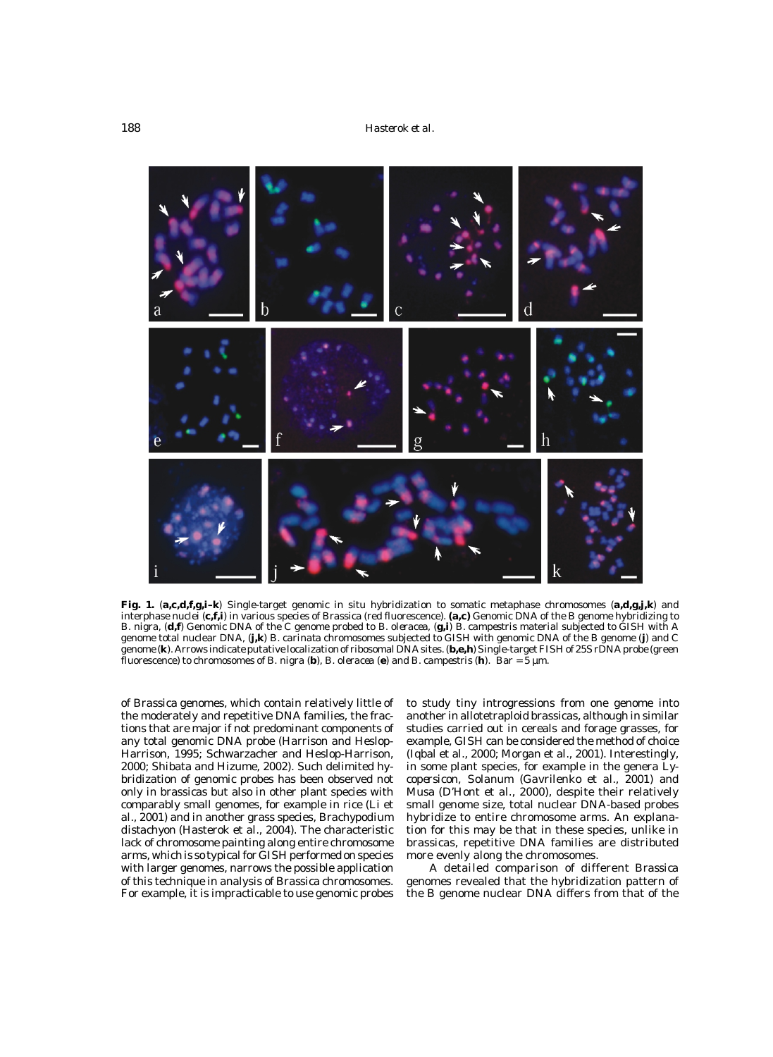

**Fig. 1.** (**a,c,d,f,g,i–k**) Single-target genomic in situ hybridization to somatic metaphase chromosomes (**a,d,g,j,k**) and interphase nuclei (**c,f,i**) in various species of *Brassica* (red fluorescence). **(a,c)** Genomic DNA of the B genome hybridizing to *B. nigra*, (**d,f**) Genomic DNA of the C genome probed to *B. oleracea*, (**g,i**) *B. campestris* material subjected to GISH with A genome total nuclear DNA, (**j,k**) *B. carinata* chromosomes subjected to GISH with genomic DNA of the B genome (**j**) and C genome (k). Arrows indicate putative localization of ribosomal DNA sites. (b,e,h) Single-target FISH of 25S rDNA probe (green fluorescence) to chromosomes of *B. nigra* (**b**), *B. oleracea* (**e**) and *B. campestris* (**h**). Bar = 5 µm.

of *Brassica* genomes, which contain relatively little of the moderately and repetitive DNA families, the fractions that are major if not predominant components of any total genomic DNA probe (Harrison and Heslop-Harrison, 1995; Schwarzacher and Heslop-Harrison, 2000; Shibata and Hizume, 2002). Such delimited hybridization of genomic probes has been observed not only in brassicas but also in other plant species with comparably small genomes, for example in rice (Li et al., 2001) and in another grass species, *Brachypodium distachyon* (Hasterok et al., 2004). The characteristic lack of chromosome painting along entire chromosome arms, which is so typical for GISH performed on species with larger genomes, narrows the possible application of this technique in analysis of *Brassica* chromosomes. For example, it is impracticable to use genomic probes

to study tiny introgressions from one genome into another in allotetraploid brassicas, although in similar studies carried out in cereals and forage grasses, for example, GISH can be considered the method of choice (Iqbal et al., 2000; Morgan et al., 2001). Interestingly, in some plant species, for example in the genera *Lycopersicon*, *Solanum* (Gavrilenko et al., 2001) and *Musa* (D'Hont et al., 2000), despite their relatively small genome size, total nuclear DNA-based probes hybridize to entire chromosome arms. An explanation for this may be that in these species, unlike in brassicas, repetitive DNA families are distributed more evenly along the chromosomes.

A detailed comparison of different *Brassica* genomes revealed that the hybridization pattern of the B genome nuclear DNA differs from that of the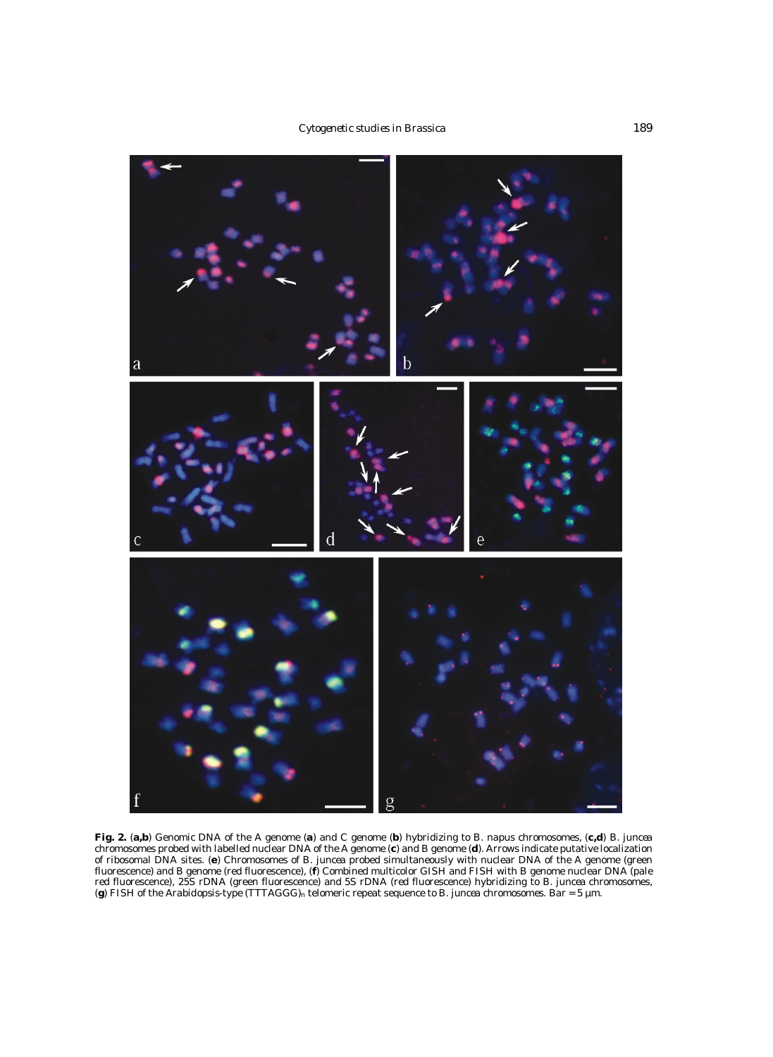

**Fig. 2.** (**a,b**) Genomic DNA of the A genome (**a**) and C genome (**b**) hybridizing to *B. napus* chromosomes, (**c,d**) *B. juncea* chromosomes probed with labelled nuclear DNA of the A genome (**c**) and B genome (**d**). Arrows indicate putative localization of ribosomal DNA sites. (**e**) Chromosomes of *B. juncea* probed simultaneously with nuclear DNA of the A genome (green fluorescence) and B genome (red fluorescence), (**f**) Combined multicolor GISH and FISH with B genome nuclear DNA (pale red fluorescence), 25S rDNA (green fluorescence) and 5S rDNA (red fluorescence) hybridizing to *B. juncea* chromosomes, (**g**) FISH of the *Arabidopsis*-type (TTTAGGG)n telomeric repeat sequence to *B. juncea* chromosomes. Bar = 5 µm.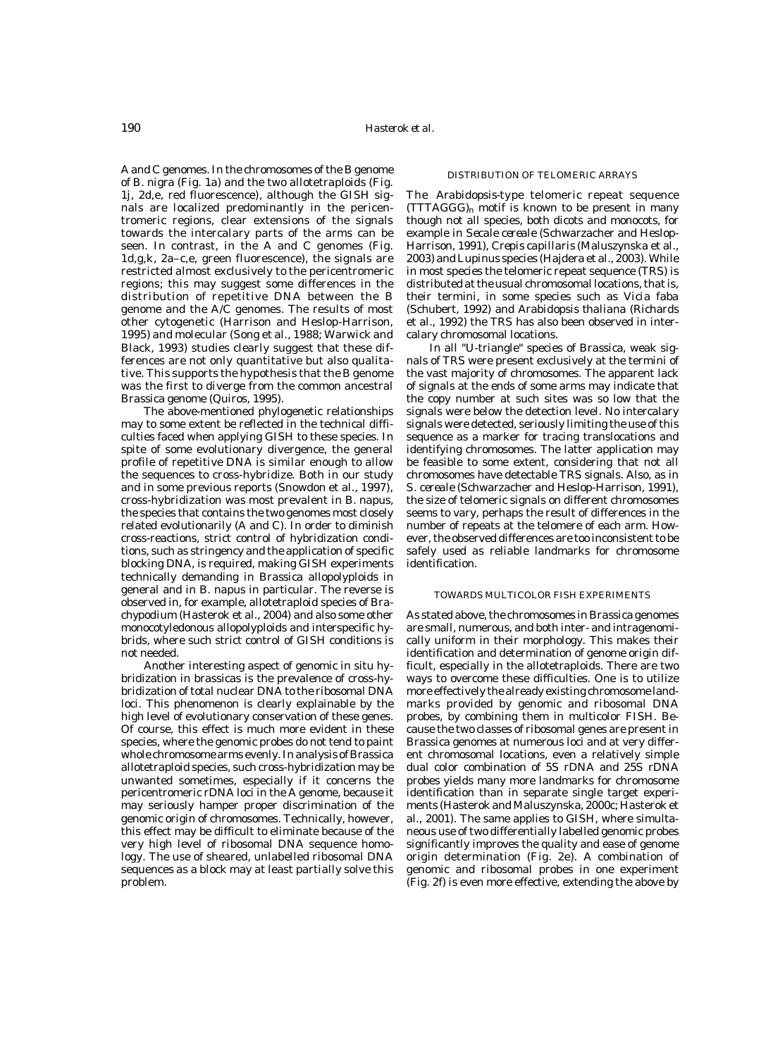A and C genomes. In the chromosomes of the B genome of *B. nigra* (Fig. 1a) and the two allotetraploids (Fig. 1j, 2d,e, red fluorescence), although the GISH signals are localized predominantly in the pericentromeric regions, clear extensions of the signals towards the intercalary parts of the arms can be seen. In contrast, in the A and C genomes (Fig. 1d,g,k, 2a–c,e, green fluorescence), the signals are restricted almost exclusively to the pericentromeric regions; this may suggest some differences in the distribution of repetitive DNA between the B genome and the A/C genomes. The results of most other cytogenetic (Harrison and Heslop-Harrison, 1995) and molecular (Song et al., 1988; Warwick and Black, 1993) studies clearly suggest that these differences are not only quantitative but also qualitative. This supports the hypothesis that the B genome was the first to diverge from the common ancestral *Brassica* genome (Quiros, 1995).

The above-mentioned phylogenetic relationships may to some extent be reflected in the technical difficulties faced when applying GISH to these species. In spite of some evolutionary divergence, the general profile of repetitive DNA is similar enough to allow the sequences to cross-hybridize. Both in our study and in some previous reports (Snowdon et al., 1997), cross-hybridization was most prevalent in *B. napus*, the species that contains the two genomes most closely related evolutionarily (A and C). In order to diminish cross-reactions, strict control of hybridization conditions, such as stringency and the application of specific blocking DNA, is required, making GISH experiments technically demanding in *Brassica* allopolyploids in general and in *B. napus* in particular. The reverse is observed in, for example, allotetraploid species of *Brachypodium* (Hasterok et al., 2004) and also some other monocotyledonous allopolyploids and interspecific hybrids, where such strict control of GISH conditions is not needed.

Another interesting aspect of genomic in situ hybridization in brassicas is the prevalence of cross-hybridization of total nuclear DNA to the ribosomal DNA loci. This phenomenon is clearly explainable by the high level of evolutionary conservation of these genes. Of course, this effect is much more evident in these species, where the genomic probes do not tend to paint whole chromosome arms evenly. In analysis of *Brassica* allotetraploid species, such cross-hybridization may be unwanted sometimes, especially if it concerns the pericentromeric rDNA loci in the A genome, because it may seriously hamper proper discrimination of the genomic origin of chromosomes. Technically, however, this effect may be difficult to eliminate because of the very high level of ribosomal DNA sequence homology. The use of sheared, unlabelled ribosomal DNA sequences as a block may at least partially solve this problem.

#### DISTRIBUTION OF TELOMERIC ARRAYS

The *Arabidopsis*-type telomeric repeat sequence  $(TTTAGGG)$ <sub>n</sub> motif is known to be present in many though not all species, both dicots and monocots, for example in *Secale cereale* (Schwarzacher and Heslop-Harrison, 1991), *Crepis capillaris* (Maluszynska et al., 2003) and *Lupinus* species (Hajdera et al., 2003). While in most species the telomeric repeat sequence (TRS) is distributed at the usual chromosomal locations, that is, their termini, in some species such as *Vicia faba* (Schubert, 1992) and *Arabidopsis thaliana* (Richards et al., 1992) the TRS has also been observed in intercalary chromosomal locations.

In all "U-triangle" species of *Brassica*, weak signals of TRS were present exclusively at the termini of the vast majority of chromosomes. The apparent lack of signals at the ends of some arms may indicate that the copy number at such sites was so low that the signals were below the detection level. No intercalary signals were detected, seriously limiting the use of this sequence as a marker for tracing translocations and identifying chromosomes. The latter application may be feasible to some extent, considering that not all chromosomes have detectable TRS signals. Also, as in *S. cereale* (Schwarzacher and Heslop-Harrison, 1991), the size of telomeric signals on different chromosomes seems to vary, perhaps the result of differences in the number of repeats at the telomere of each arm. However, the observed differences are too inconsistent to be safely used as reliable landmarks for chromosome identification.

#### TOWARDS MULTICOLOR FISH EXPERIMENTS

As stated above, the chromosomes in *Brassica* genomes are small, numerous, and both inter- and intragenomically uniform in their morphology. This makes their identification and determination of genome origin difficult, especially in the allotetraploids. There are two ways to overcome these difficulties. One is to utilize more effectively the already existing chromosome landmarks provided by genomic and ribosomal DNA probes, by combining them in multicolor FISH. Because the two classes of ribosomal genes are present in *Brassica* genomes at numerous loci and at very different chromosomal locations, even a relatively simple dual color combination of 5S rDNA and 25S rDNA probes yields many more landmarks for chromosome identification than in separate single target experiments (Hasterok and Maluszynska, 2000c; Hasterok et al., 2001). The same applies to GISH, where simultaneous use of two differentially labelled genomic probes significantly improves the quality and ease of genome origin determination (Fig. 2e). A combination of genomic and ribosomal probes in one experiment (Fig. 2f) is even more effective, extending the above by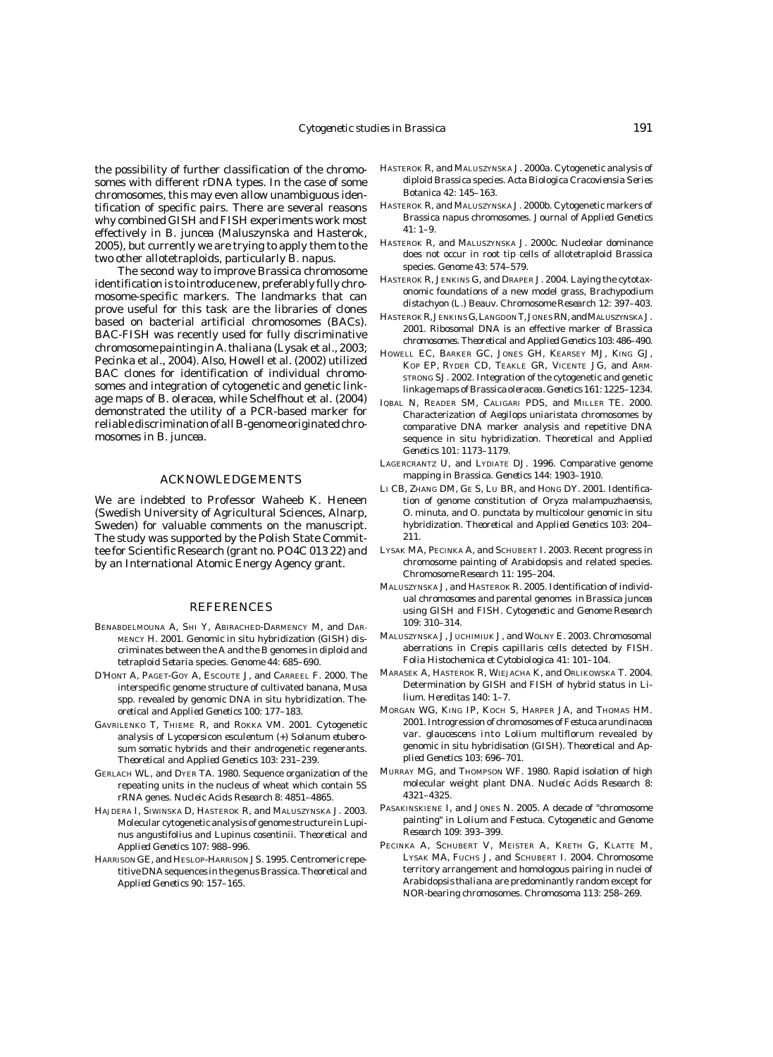the possibility of further classification of the chromosomes with different rDNA types. In the case of some chromosomes, this may even allow unambiguous identification of specific pairs. There are several reasons why combined GISH and FISH experiments work most effectively in *B. juncea* (Maluszynska and Hasterok, 2005), but currently we are trying to apply them to the two other allotetraploids, particularly *B. napus*.

The second way to improve *Brassica* chromosome identification is to introduce new, preferably fully chromosome-specific markers. The landmarks that can prove useful for this task are the libraries of clones based on bacterial artificial chromosomes (BACs). BAC-FISH was recently used for fully discriminative chromosome painting in *A. thaliana* (Lysak et al., 2003; Pecinka et al., 2004). Also, Howell et al. (2002) utilized BAC clones for identification of individual chromosomes and integration of cytogenetic and genetic linkage maps of *B. oleracea*, while Schelfhout et al. (2004) demonstrated the utility of a PCR-based marker for reliable discrimination of all B-genome originated chromosomes in *B. juncea*.

## ACKNOWLEDGEMENTS

We are indebted to Professor Waheeb K. Heneen (Swedish University of Agricultural Sciences, Alnarp, Sweden) for valuable comments on the manuscript. The study was supported by the Polish State Committee for Scientific Research (grant no. PO4C 013 22) and by an International Atomic Energy Agency grant.

#### REFERENCES

- BENABDELMOUNA A, SHI Y, ABIRACHED-DARMENCY M, and DAR-MENCY H. 2001. Genomic in situ hybridization (GISH) discriminates between the A and the B genomes in diploid and tetraploid *Setaria* species. *Genome* 44: 685–690.
- D'HONT A, PAGET-GOY A, ESCOUTE J, and CARREEL F. 2000. The interspecific genome structure of cultivated banana, *Musa* spp. revealed by genomic DNA in situ hybridization. *Theoretical and Applied Genetics* 100: 177–183.
- GAVRILENKO T, THIEME R, and ROKKA VM. 2001. Cytogenetic analysis of *Lycopersicon esculentum* (+) *Solanum etuberosum* somatic hybrids and their androgenetic regenerants. *Theoretical and Applied Genetics* 103: 231–239.
- GERLACH WL, and DYER TA. 1980. Sequence organization of the repeating units in the nucleus of wheat which contain 5S rRNA genes. *Nucleic Acids Research* 8: 4851–4865.
- HAJDERA I, SIWINSKA D, HASTEROK R, and MALUSZYNSKA J. 2003. Molecular cytogenetic analysis of genome structure in *Lupinus angustifolius* and *Lupinus cosentinii*. *Theoretical and Applied Genetics* 107: 988–996.
- HARRISON GE, and HESLOP-HARRISON JS. 1995. Centromeric repetitive DNA sequences in the genus *Brassica*. *Theoretical and Applied Genetics* 90: 157–165.
- HASTEROK R, and MALUSZYNSKA J. 2000a. Cytogenetic analysis of diploid *Brassica* species. *Acta Biologica Cracoviensia Series Botanica* 42: 145–163.
- HASTEROK R, and MALUSZYNSKA J. 2000b. Cytogenetic markers of *Brassica napus* chromosomes. *Journal of Applied Genetics* 41: 1–9.
- HASTEROK R, and MALUSZYNSKA J. 2000c. Nucleolar dominance does not occur in root tip cells of allotetraploid *Brassica* species. *Genome* 43: 574–579.
- HASTEROK R, JENKINS G, and DRAPER J. 2004. Laying the cytotaxonomic foundations of a new model grass, *Brachypodium distachyon* (L.) Beauv. *Chromosome Research* 12: 397–403.
- HASTEROK R, JENKINS G, LANGDON T, JONES RN, and MALUSZYNSKA J. 2001. Ribosomal DNA is an effective marker of *Brassica* chromosomes. *Theoretical and Applied Genetics* 103: 486–490.
- HOWELL EC, BARKER GC, JONES GH, KEARSEY MJ, KING GJ, KOP EP, RYDER CD, TEAKLE GR, VICENTE JG, and ARM-STRONG SJ. 2002. Integration of the cytogenetic and genetic linkage maps of *Brassica oleracea*. *Genetics* 161: 1225–1234.
- IQBAL N, READER SM, CALIGARI PDS, and MILLER TE. 2000. Characterization of *Aegilops uniaristata* chromosomes by comparative DNA marker analysis and repetitive DNA sequence in situ hybridization. *Theoretical and Applied Genetics* 101: 1173–1179.
- LAGERCRANTZ U, and LYDIATE DJ. 1996. Comparative genome mapping in *Brassica*. *Genetics* 144: 1903–1910.
- LI CB, ZHANG DM, GE S, LU BR, and HONG DY. 2001. Identification of genome constitution of *Oryza malampuzhaensis*, *O. minuta*, and *O. punctata* by multicolour genomic in situ hybridization. *Theoretical and Applied Genetics* 103: 204– 211.
- LYSAK MA, PECINKA A, and SCHUBERT I. 2003. Recent progress in chromosome painting of *Arabidopsis* and related species. *Chromosome Research* 11: 195–204.
- MALUSZYNSKA J, and HASTEROK R. 2005. Identification of individual chromosomes and parental genomes in *Brassica juncea* using GISH and FISH. *Cytogenetic and Genome Research* 109: 310–314.
- MALUSZYNSKA J, JUCHIMIUK J, and WOLNY E. 2003. Chromosomal aberrations in *Crepis capillaris* cells detected by FISH. *Folia Histochemica et Cytobiologica* 41: 101–104.
- MARASEK A, HASTEROK R, WIEJACHA K, and ORLIKOWSKA T. 2004. Determination by GISH and FISH of hybrid status in *Lilium*. *Hereditas* 140: 1–7.
- MORGAN WG, KING IP, KOCH S, HARPER JA, and THOMAS HM. 2001. Introgression of chromosomes of *Festuca arundinacea* var. *glaucescens* into *Lolium multiflorum* revealed by genomic in situ hybridisation (GISH). *Theoretical and Applied Genetics* 103: 696–701.
- MURRAY MG, and THOMPSON WF. 1980. Rapid isolation of high molecular weight plant DNA. *Nucleic Acids Research* 8: 4321–4325.
- PASAKINSKIENE I, and JONES N. 2005. A decade of "chromosome painting" in *Lolium* and *Festuca*. *Cytogenetic and Genome Research* 109: 393–399.
- PECINKA A, SCHUBERT V, MEISTER A, KRETH G, KLATTE M, LYSAK MA, FUCHS J, and SCHUBERT I. 2004. Chromosome territory arrangement and homologous pairing in nuclei of *Arabidopsis thaliana* are predominantly random except for NOR-bearing chromosomes. *Chromosoma* 113: 258–269.